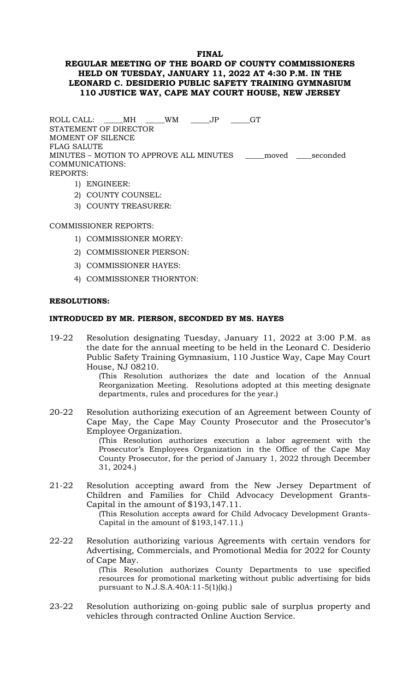### **FINAL**

## **REGULAR MEETING OF THE BOARD OF COUNTY COMMISSIONERS HELD ON TUESDAY, JANUARY 11, 2022 AT 4:30 P.M. IN THE LEONARD C. DESIDERIO PUBLIC SAFETY TRAINING GYMNASIUM 110 JUSTICE WAY, CAPE MAY COURT HOUSE, NEW JERSEY**

ROLL CALL: \_\_\_\_\_MH \_\_\_\_\_WM \_\_\_\_\_JP GT STATEMENT OF DIRECTOR MOMENT OF SILENCE FLAG SALUTE MINUTES – MOTION TO APPROVE ALL MINUTES \_\_\_\_\_moved \_\_\_\_seconded COMMUNICATIONS: REPORTS:

- 1) ENGINEER:
- 2) COUNTY COUNSEL:
- 3) COUNTY TREASURER:

### COMMISSIONER REPORTS:

- 1) COMMISSIONER MOREY:
- 2) COMMISSIONER PIERSON:
- 3) COMMISSIONER HAYES:
- 4) COMMISSIONER THORNTON:

#### **RESOLUTIONS:**

### **INTRODUCED BY MR. PIERSON, SECONDED BY MS. HAYES**

19-22 Resolution designating Tuesday, January 11, 2022 at 3:00 P.M. as the date for the annual meeting to be held in the Leonard C. Desiderio Public Safety Training Gymnasium, 110 Justice Way, Cape May Court House, NJ 08210.

> (This Resolution authorizes the date and location of the Annual Reorganization Meeting. Resolutions adopted at this meeting designate departments, rules and procedures for the year.)

20-22 Resolution authorizing execution of an Agreement between County of Cape May, the Cape May County Prosecutor and the Prosecutor's Employee Organization.

> (This Resolution authorizes execution a labor agreement with the Prosecutor's Employees Organization in the Office of the Cape May County Prosecutor, for the period of January 1, 2022 through December 31, 2024.)

21-22 Resolution accepting award from the New Jersey Department of Children and Families for Child Advocacy Development Grants-Capital in the amount of \$193,147.11.

(This Resolution accepts award for Child Advocacy Development Grants-Capital in the amount of \$193,147.11.)

22-22 Resolution authorizing various Agreements with certain vendors for Advertising, Commercials, and Promotional Media for 2022 for County of Cape May.

(This Resolution authorizes County Departments to use specified resources for promotional marketing without public advertising for bids pursuant to N.J.S.A.40A:11-5(1)(k).)

23-22 Resolution authorizing on-going public sale of surplus property and vehicles through contracted Online Auction Service.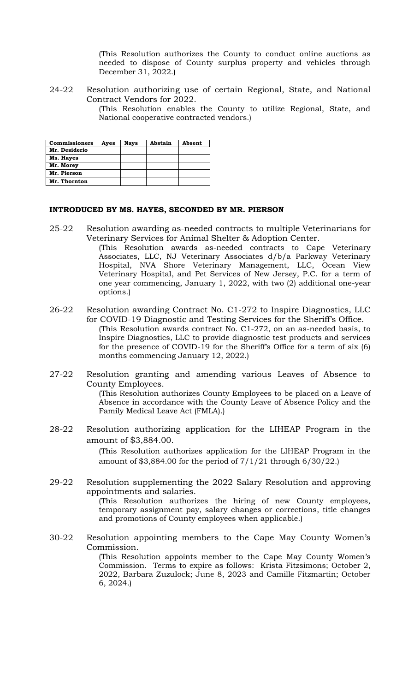(This Resolution authorizes the County to conduct online auctions as needed to dispose of County surplus property and vehicles through December 31, 2022.)

24-22 Resolution authorizing use of certain Regional, State, and National Contract Vendors for 2022.

(This Resolution enables the County to utilize Regional, State, and National cooperative contracted vendors.)

| <b>Commissioners</b> | Aves | <b>Nays</b> | Abstain | Absent |
|----------------------|------|-------------|---------|--------|
| Mr. Desiderio        |      |             |         |        |
| Ms. Hayes            |      |             |         |        |
| Mr. Morey            |      |             |         |        |
| Mr. Pierson          |      |             |         |        |
| Mr. Thornton         |      |             |         |        |

#### **INTRODUCED BY MS. HAYES, SECONDED BY MR. PIERSON**

- 25-22 Resolution awarding as-needed contracts to multiple Veterinarians for Veterinary Services for Animal Shelter & Adoption Center. (This Resolution awards as-needed contracts to Cape Veterinary Associates, LLC, NJ Veterinary Associates d/b/a Parkway Veterinary Hospital, NVA Shore Veterinary Management, LLC, Ocean View Veterinary Hospital, and Pet Services of New Jersey, P.C. for a term of one year commencing, January 1, 2022, with two (2) additional one-year options.)
- 26-22 Resolution awarding Contract No. C1-272 to Inspire Diagnostics, LLC for COVID-19 Diagnostic and Testing Services for the Sheriff's Office. (This Resolution awards contract No. C1-272, on an as-needed basis, to Inspire Diagnostics, LLC to provide diagnostic test products and services for the presence of COVID-19 for the Sheriff's Office for a term of six (6) months commencing January 12, 2022.)
- 27-22 Resolution granting and amending various Leaves of Absence to County Employees. (This Resolution authorizes County Employees to be placed on a Leave of Absence in accordance with the County Leave of Absence Policy and the Family Medical Leave Act (FMLA).)
- 28-22 Resolution authorizing application for the LIHEAP Program in the amount of \$3,884.00.

(This Resolution authorizes application for the LIHEAP Program in the amount of \$3,884.00 for the period of  $7/1/21$  through  $6/30/22$ .

29-22 Resolution supplementing the 2022 Salary Resolution and approving appointments and salaries.

(This Resolution authorizes the hiring of new County employees, temporary assignment pay, salary changes or corrections, title changes and promotions of County employees when applicable.)

30-22 Resolution appointing members to the Cape May County Women's Commission.

(This Resolution appoints member to the Cape May County Women's Commission. Terms to expire as follows: Krista Fitzsimons; October 2, 2022, Barbara Zuzulock; June 8, 2023 and Camille Fitzmartin; October 6, 2024.)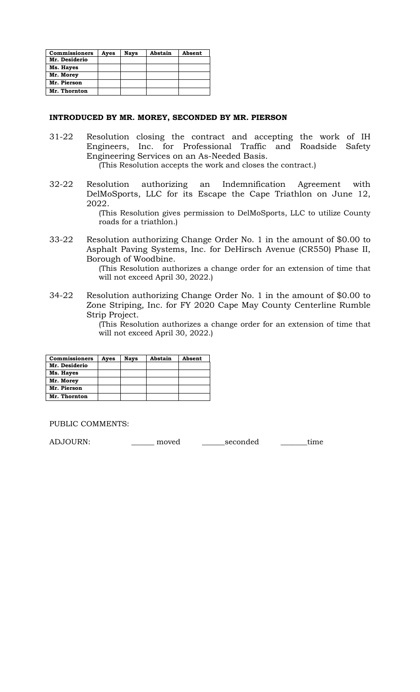| <b>Commissioners</b> | Ayes | <b>Nays</b> | Abstain | Absent |
|----------------------|------|-------------|---------|--------|
| Mr. Desiderio        |      |             |         |        |
| Ms. Hayes            |      |             |         |        |
| Mr. Morey            |      |             |         |        |
| Mr. Pierson          |      |             |         |        |
| Mr. Thornton         |      |             |         |        |

#### **INTRODUCED BY MR. MOREY, SECONDED BY MR. PIERSON**

- 31-22 Resolution closing the contract and accepting the work of IH Engineers, Inc. for Professional Traffic and Roadside Safety Engineering Services on an As-Needed Basis. (This Resolution accepts the work and closes the contract.)
- 32-22 Resolution authorizing an Indemnification Agreement with
	- DelMoSports, LLC for its Escape the Cape Triathlon on June 12, 2022.

(This Resolution gives permission to DelMoSports, LLC to utilize County roads for a triathlon.)

33-22 Resolution authorizing Change Order No. 1 in the amount of \$0.00 to Asphalt Paving Systems, Inc. for DeHirsch Avenue (CR550) Phase II, Borough of Woodbine.

(This Resolution authorizes a change order for an extension of time that will not exceed April 30, 2022.)

34-22 Resolution authorizing Change Order No. 1 in the amount of \$0.00 to Zone Striping, Inc. for FY 2020 Cape May County Centerline Rumble Strip Project.

(This Resolution authorizes a change order for an extension of time that will not exceed April 30, 2022.)

| <b>Commissioners</b> | Ayes | <b>Nays</b> | Abstain | Absent |
|----------------------|------|-------------|---------|--------|
| Mr. Desiderio        |      |             |         |        |
| Ms. Hayes            |      |             |         |        |
| Mr. Morey            |      |             |         |        |
| Mr. Pierson          |      |             |         |        |
| Mr. Thornton         |      |             |         |        |

PUBLIC COMMENTS:

ADJOURN:\_\_\_\_\_\_ moved \_\_\_\_\_\_seconded \_\_\_\_\_\_\_time